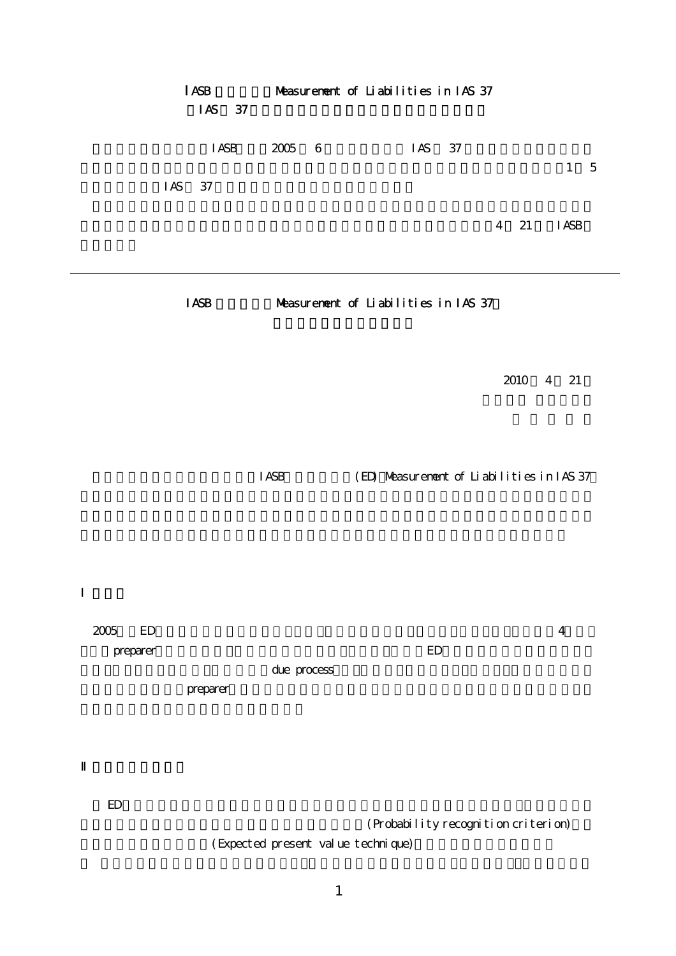|      | <b>I ASB</b><br>IAS<br>- 37 |        | Measurement of Liabilities in IAS 37 |    |   |    |       |
|------|-----------------------------|--------|--------------------------------------|----|---|----|-------|
|      | <b>I ASB</b>                | 2005 6 | I AS                                 | 37 |   |    | 5     |
| I AS | - 37                        |        |                                      |    |   |    |       |
|      |                             |        |                                      |    | 4 | 21 | I ASB |

| <b>I ASB</b> | Measurement of Liabilities in IAS 37 |  |
|--------------|--------------------------------------|--|
|              |                                      |  |

2010 4 21

IASB (ED) Measurement of Liabilities in IAS 37

 $2005$  ED  $\overline{4}$ bethere the contract the contract term in the contract of the contract of the contract of the contract of the contract of the contract of the contract of the contract of the contract of the contract of the contract of the due process

 $\mu$  preparer contracts the contracts of  $\mu$  and  $\mu$  and  $\mu$  and  $\mu$  and  $\mu$  and  $\mu$  and  $\mu$  and  $\mu$  and  $\mu$  and  $\mu$  and  $\mu$  and  $\mu$  and  $\mu$  and  $\mu$  and  $\mu$  and  $\mu$  and  $\mu$  and  $\mu$  and  $\mu$  and  $\mu$  and

 $\mathbf{E}$ D  $\mathbf{E}$ 

(Probability recognition criterion) (Expected present value technique)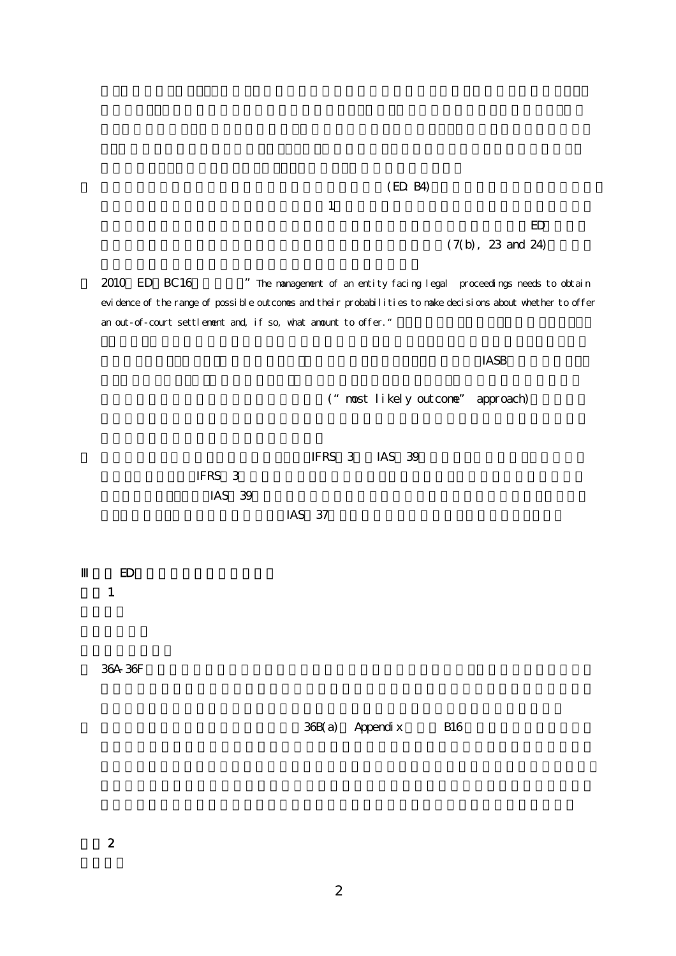$(ED \cdot B4)$ 

 $\overline{E}$  $(7(b), 23 \text{ and } 24)$ 

2010 ED BC16 "The management of an entity facing legal proceedings needs to obtain evidence of the range of possible outcomes and their probabilities to make decisions about whether to offer an out-of-court settlement and, if so, what amount to offer."

 $\mathbf 1$ 

#### $IASB$

(" nost likely outcome" approach)

 $I$  FRS 3 IAS 39  $I$ FRS  $3$  $\text{IAS}$  39 IAS 37

 $\mathbf{E}\mathbf{D}$ 

質問 1

 $364.36F$ 

 $36B(a)$  Appendix B16

質問 2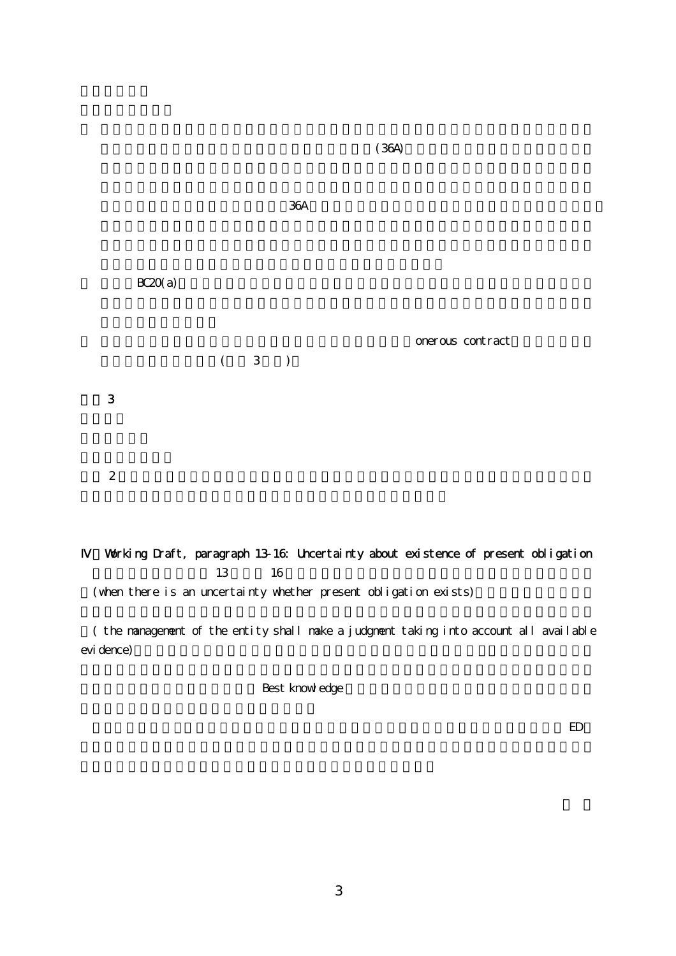

 $(364)$ 

# Working Draft, paragraph 13-16: Uncertainty about existence of present obligation  $13 \t 16$

(when there is an uncertainty whether present obligation exists)

( the nanagement of the entity shall make a judgment taking into account all available evidence)

Best knowledge

 $\mathbb{E}$ D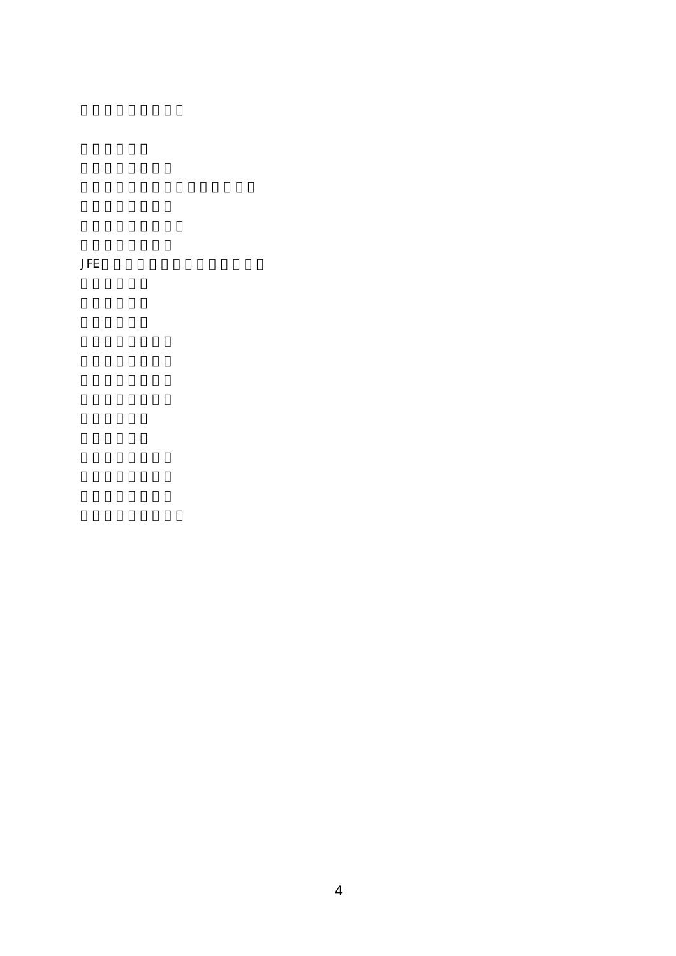**JFE**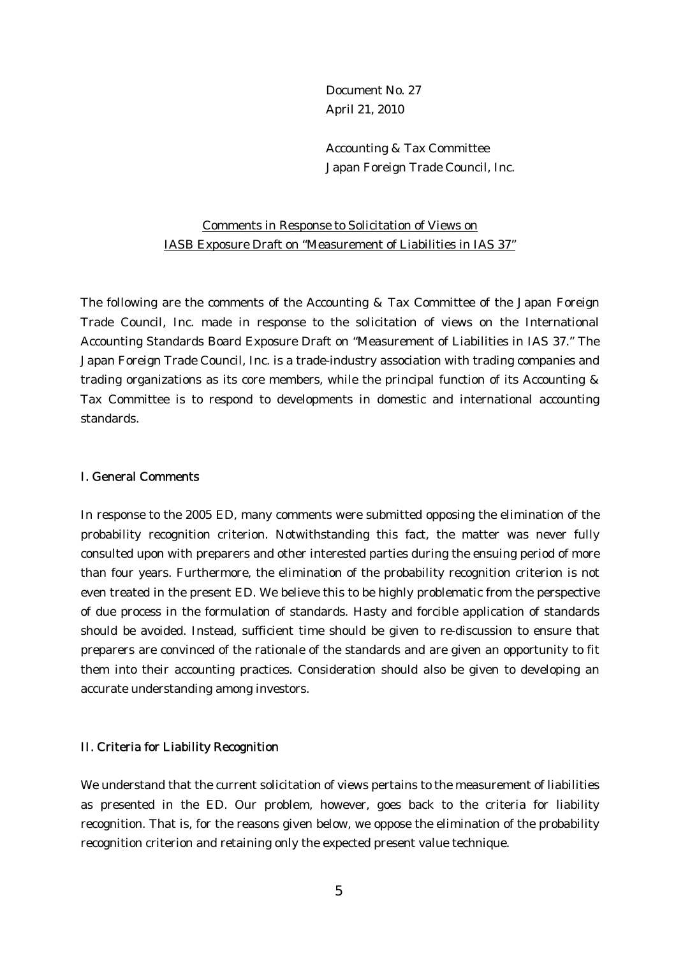Document No. 27 April 21, 2010

Accounting & Tax Committee Japan Foreign Trade Council, Inc.

# Comments in Response to Solicitation of Views on IASB Exposure Draft on "Measurement of Liabilities in IAS 37"

The following are the comments of the Accounting & Tax Committee of the Japan Foreign Trade Council, Inc. made in response to the solicitation of views on the International Accounting Standards Board Exposure Draft on "Measurement of Liabilities in IAS 37." The Japan Foreign Trade Council, Inc. is a trade-industry association with trading companies and trading organizations as its core members, while the principal function of its Accounting & Tax Committee is to respond to developments in domestic and international accounting standards.

#### I. General Comments

In response to the 2005 ED, many comments were submitted opposing the elimination of the probability recognition criterion. Notwithstanding this fact, the matter was never fully consulted upon with preparers and other interested parties during the ensuing period of more than four years. Furthermore, the elimination of the probability recognition criterion is not even treated in the present ED. We believe this to be highly problematic from the perspective of due process in the formulation of standards. Hasty and forcible application of standards should be avoided. Instead, sufficient time should be given to re-discussion to ensure that preparers are convinced of the rationale of the standards and are given an opportunity to fit them into their accounting practices. Consideration should also be given to developing an accurate understanding among investors.

#### II. Criteria for Liability Recognition

We understand that the current solicitation of views pertains to the measurement of liabilities as presented in the ED. Our problem, however, goes back to the criteria for liability recognition. That is, for the reasons given below, we oppose the elimination of the probability recognition criterion and retaining only the expected present value technique.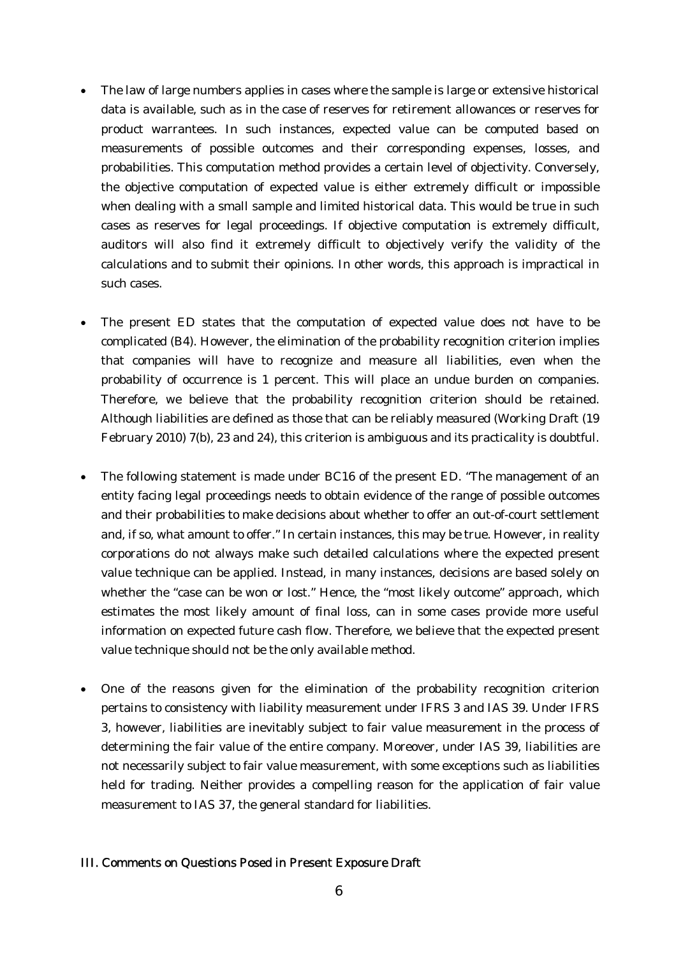- The law of large numbers applies in cases where the sample is large or extensive historical data is available, such as in the case of reserves for retirement allowances or reserves for product warrantees. In such instances, expected value can be computed based on measurements of possible outcomes and their corresponding expenses, losses, and probabilities. This computation method provides a certain level of objectivity. Conversely, the objective computation of expected value is either extremely difficult or impossible when dealing with a small sample and limited historical data. This would be true in such cases as reserves for legal proceedings. If objective computation is extremely difficult, auditors will also find it extremely difficult to objectively verify the validity of the calculations and to submit their opinions. In other words, this approach is impractical in such cases.
- The present ED states that the computation of expected value does not have to be complicated (B4). However, the elimination of the probability recognition criterion implies that companies will have to recognize and measure all liabilities, even when the probability of occurrence is 1 percent. This will place an undue burden on companies. Therefore, we believe that the probability recognition criterion should be retained. Although liabilities are defined as those that can be reliably measured (Working Draft (19 February 2010) 7(b), 23 and 24), this criterion is ambiguous and its practicality is doubtful.
- The following statement is made under BC16 of the present ED. "The management of an entity facing legal proceedings needs to obtain evidence of the range of possible outcomes and their probabilities to make decisions about whether to offer an out-of-court settlement and, if so, what amount to offer." In certain instances, this may be true. However, in reality corporations do not always make such detailed calculations where the expected present value technique can be applied. Instead, in many instances, decisions are based solely on whether the "case can be won or lost." Hence, the "most likely outcome" approach, which estimates the most likely amount of final loss, can in some cases provide more useful information on expected future cash flow. Therefore, we believe that the expected present value technique should not be the only available method.
- One of the reasons given for the elimination of the probability recognition criterion pertains to consistency with liability measurement under IFRS 3 and IAS 39. Under IFRS 3, however, liabilities are inevitably subject to fair value measurement in the process of determining the fair value of the entire company. Moreover, under IAS 39, liabilities are not necessarily subject to fair value measurement, with some exceptions such as liabilities held for trading. Neither provides a compelling reason for the application of fair value measurement to IAS 37, the general standard for liabilities.

### III. Comments on Questions Posed in Present Exposure Draft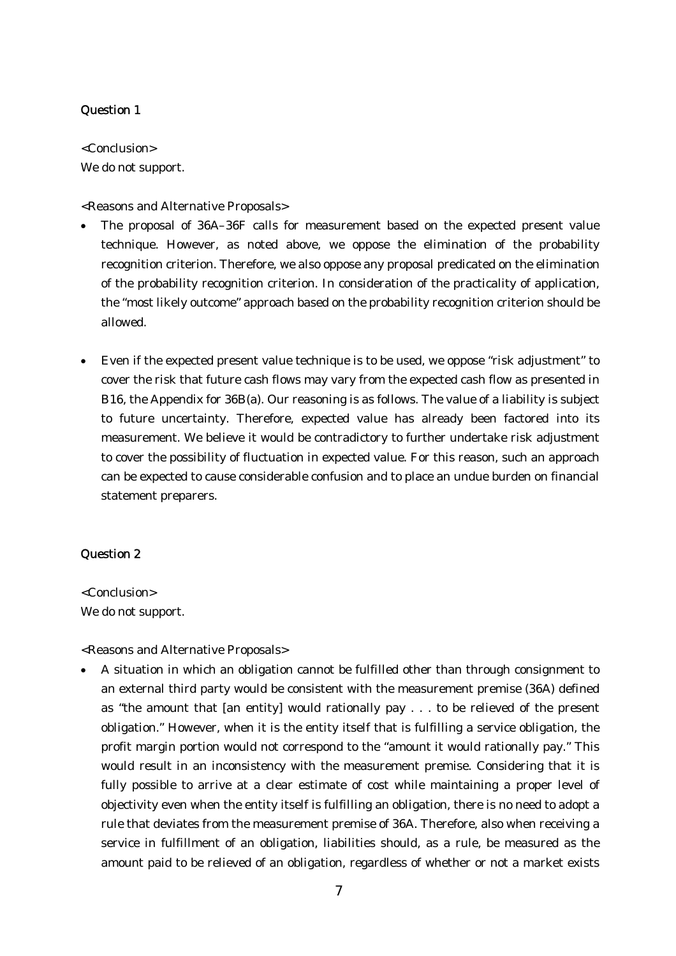### Question 1

<Conclusion> We do not support.

#### <Reasons and Alternative Proposals>

- The proposal of 36A–36F calls for measurement based on the expected present value technique. However, as noted above, we oppose the elimination of the probability recognition criterion. Therefore, we also oppose any proposal predicated on the elimination of the probability recognition criterion. In consideration of the practicality of application, the "most likely outcome" approach based on the probability recognition criterion should be allowed.
- Even if the expected present value technique is to be used, we oppose "risk adjustment" to cover the risk that future cash flows may vary from the expected cash flow as presented in B16, the Appendix for 36B(a). Our reasoning is as follows. The value of a liability is subject to future uncertainty. Therefore, expected value has already been factored into its measurement. We believe it would be contradictory to further undertake risk adjustment to cover the possibility of fluctuation in expected value. For this reason, such an approach can be expected to cause considerable confusion and to place an undue burden on financial statement preparers.

#### Question 2

<Conclusion> We do not support.

<Reasons and Alternative Proposals>

• A situation in which an obligation cannot be fulfilled other than through consignment to an external third party would be consistent with the measurement premise (36A) defined as "the amount that [an entity] would rationally pay . . . to be relieved of the present obligation." However, when it is the entity itself that is fulfilling a service obligation, the profit margin portion would not correspond to the "amount it would rationally pay." This would result in an inconsistency with the measurement premise. Considering that it is fully possible to arrive at a clear estimate of cost while maintaining a proper level of objectivity even when the entity itself is fulfilling an obligation, there is no need to adopt a rule that deviates from the measurement premise of 36A. Therefore, also when receiving a service in fulfillment of an obligation, liabilities should, as a rule, be measured as the amount paid to be relieved of an obligation, regardless of whether or not a market exists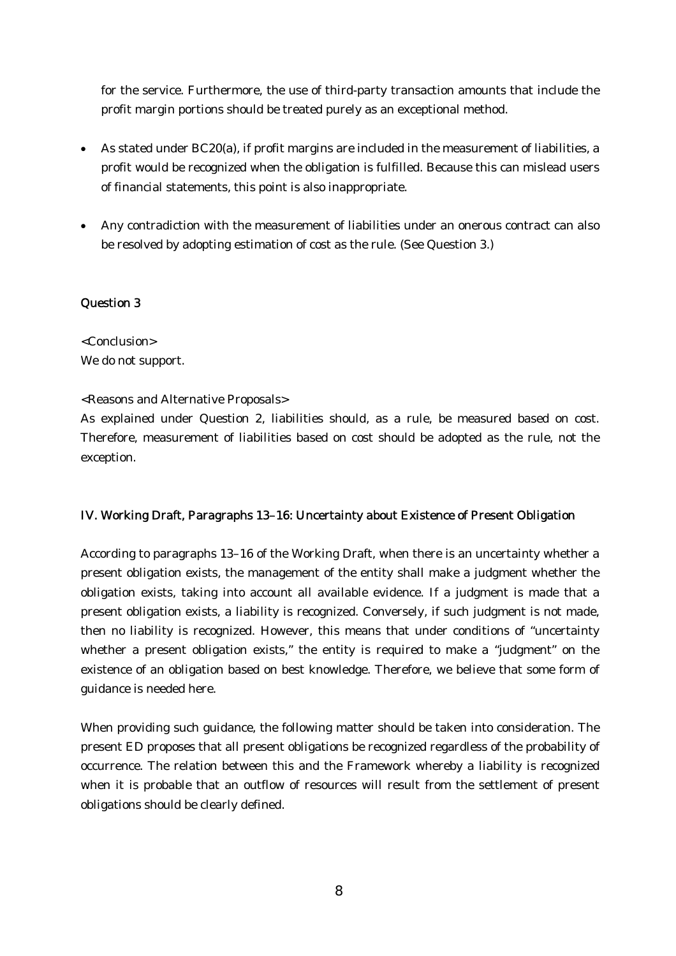for the service. Furthermore, the use of third-party transaction amounts that include the profit margin portions should be treated purely as an exceptional method.

- As stated under BC20(a), if profit margins are included in the measurement of liabilities, a profit would be recognized when the obligation is fulfilled. Because this can mislead users of financial statements, this point is also inappropriate.
- Any contradiction with the measurement of liabilities under an onerous contract can also be resolved by adopting estimation of cost as the rule. (See Question 3.)

# Question 3

<Conclusion> We do not support.

<Reasons and Alternative Proposals>

As explained under Question 2, liabilities should, as a rule, be measured based on cost. Therefore, measurement of liabilities based on cost should be adopted as the rule, not the exception.

# IV. Working Draft, Paragraphs 13–16: Uncertainty about Existence of Present Obligation

According to paragraphs 13–16 of the Working Draft, when there is an uncertainty whether a present obligation exists, the management of the entity shall make a judgment whether the obligation exists, taking into account all available evidence. If a judgment is made that a present obligation exists, a liability is recognized. Conversely, if such judgment is not made, then no liability is recognized. However, this means that under conditions of "uncertainty whether a present obligation exists," the entity is required to make a "judgment" on the existence of an obligation based on best knowledge. Therefore, we believe that some form of guidance is needed here.

When providing such guidance, the following matter should be taken into consideration. The present ED proposes that all present obligations be recognized regardless of the probability of occurrence. The relation between this and the Framework whereby a liability is recognized when it is probable that an outflow of resources will result from the settlement of present obligations should be clearly defined.